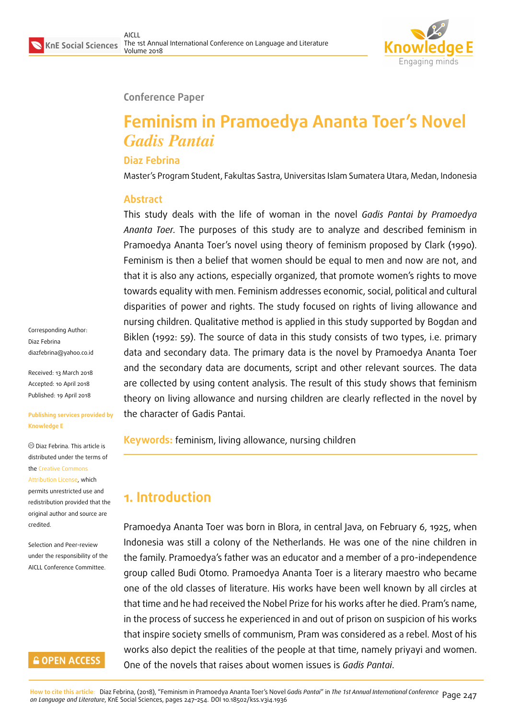

#### **Conference Paper**

# **Feminism in Pramoedya Ananta Toer's Novel** *Gadis Pantai*

#### **Diaz Febrina**

Master's Program Student, Fakultas Sastra, Universitas Islam Sumatera Utara, Medan, Indonesia

#### **Abstract**

This study deals with the life of woman in the novel *Gadis Pantai by Pramoedya Ananta Toer.* The purposes of this study are to analyze and described feminism in Pramoedya Ananta Toer's novel using theory of feminism proposed by Clark (1990). Feminism is then a belief that women should be equal to men and now are not, and that it is also any actions, especially organized, that promote women's rights to move towards equality with men. Feminism addresses economic, social, political and cultural disparities of power and rights. The study focused on rights of living allowance and nursing children. Qualitative method is applied in this study supported by Bogdan and Biklen (1992: 59). The source of data in this study consists of two types, i.e. primary data and secondary data. The primary data is the novel by Pramoedya Ananta Toer and the secondary data are documents, script and other relevant sources. The data are collected by using content analysis. The result of this study shows that feminism theory on living allowance and nursing children are clearly reflected in the novel by the character of Gadis Pantai.

**Keywords:** feminism, living allowance, nursing children

# **1. Introduction**

Pramoedya Ananta Toer was born in Blora, in central Java, on February 6, 1925, when Indonesia was still a colony of the Netherlands. He was one of the nine children in the family. Pramoedya's father was an educator and a member of a pro-independence group called Budi Otomo. Pramoedya Ananta Toer is a literary maestro who became one of the old classes of literature. His works have been well known by all circles at that time and he had received the Nobel Prize for his works after he died. Pram's name, in the process of success he experienced in and out of prison on suspicion of his works that inspire society smells of communism, Pram was considered as a rebel. Most of his works also depict the realities of the people at that time, namely priyayi and women. One of the novels that raises about women issues is *Gadis Pantai*.

Corresponding Author: Diaz Febrina diazfebrina@yahoo.co.id

Received: 13 March 2018 Accepted: 10 April 2018 [Published: 19 April 2018](mailto:diazfebrina@yahoo.co.id)

#### **Publishing services provided by Knowledge E**

Diaz Febrina. This article is distributed under the terms of the Creative Commons Attribution License, which permits unrestricted use and redistribution provided that the ori[ginal author and sou](https://creativecommons.org/licenses/by/4.0/)rce are [credited.](https://creativecommons.org/licenses/by/4.0/)

Selection and Peer-review under the responsibility of the AICLL Conference Committee.

#### **GOPEN ACCESS**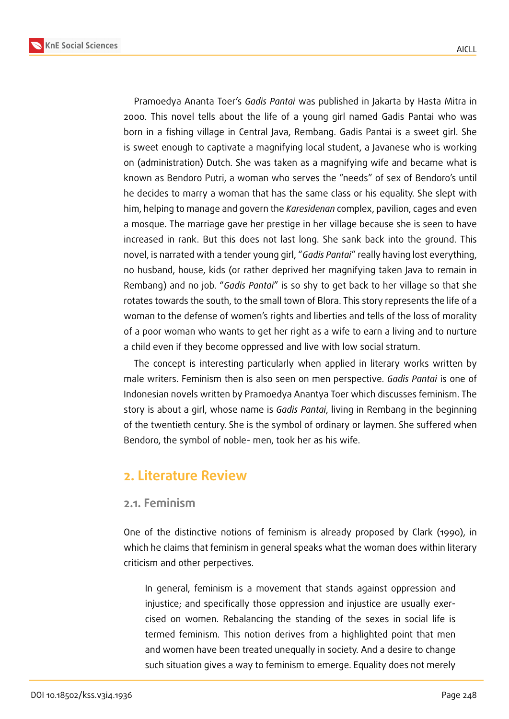

Pramoedya Ananta Toer's *Gadis Pantai* was published in Jakarta by Hasta Mitra in 2000. This novel tells about the life of a young girl named Gadis Pantai who was born in a fishing village in Central Java, Rembang. Gadis Pantai is a sweet girl. She is sweet enough to captivate a magnifying local student, a Javanese who is working on (administration) Dutch. She was taken as a magnifying wife and became what is known as Bendoro Putri, a woman who serves the "needs" of sex of Bendoro's until he decides to marry a woman that has the same class or his equality. She slept with him, helping to manage and govern the *Karesidenan* complex, pavilion, cages and even a mosque. The marriage gave her prestige in her village because she is seen to have increased in rank. But this does not last long. She sank back into the ground. This novel, is narrated with a tender young girl, "*Gadis Pantai*" really having lost everything, no husband, house, kids (or rather deprived her magnifying taken Java to remain in Rembang) and no job. "*Gadis Pantai*" is so shy to get back to her village so that she rotates towards the south, to the small town of Blora. This story represents the life of a woman to the defense of women's rights and liberties and tells of the loss of morality of a poor woman who wants to get her right as a wife to earn a living and to nurture a child even if they become oppressed and live with low social stratum.

The concept is interesting particularly when applied in literary works written by male writers. Feminism then is also seen on men perspective. *Gadis Pantai* is one of Indonesian novels written by Pramoedya Anantya Toer which discusses feminism. The story is about a girl, whose name is *Gadis Pantai*, living in Rembang in the beginning of the twentieth century. She is the symbol of ordinary or laymen. She suffered when Bendoro, the symbol of noble- men, took her as his wife.

## **2. Literature Review**

#### **2.1. Feminism**

One of the distinctive notions of feminism is already proposed by Clark (1990), in which he claims that feminism in general speaks what the woman does within literary criticism and other perpectives.

In general, feminism is a movement that stands against oppression and injustice; and specifically those oppression and injustice are usually exercised on women. Rebalancing the standing of the sexes in social life is termed feminism. This notion derives from a highlighted point that men and women have been treated unequally in society. And a desire to change such situation gives a way to feminism to emerge. Equality does not merely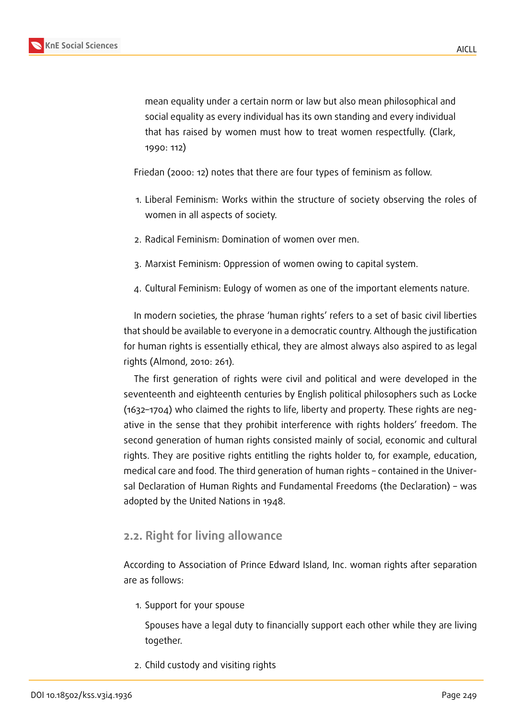mean equality under a certain norm or law but also mean philosophical and social equality as every individual has its own standing and every individual that has raised by women must how to treat women respectfully. (Clark, 1990: 112)

Friedan (2000: 12) notes that there are four types of feminism as follow.

- 1. Liberal Feminism: Works within the structure of society observing the roles of women in all aspects of society.
- 2. Radical Feminism: Domination of women over men.
- 3. Marxist Feminism: Oppression of women owing to capital system.
- 4. Cultural Feminism: Eulogy of women as one of the important elements nature.

In modern societies, the phrase 'human rights' refers to a set of basic civil liberties that should be available to everyone in a democratic country. Although the justification for human rights is essentially ethical, they are almost always also aspired to as legal rights (Almond, 2010: 261).

The first generation of rights were civil and political and were developed in the seventeenth and eighteenth centuries by English political philosophers such as Locke (1632–1704) who claimed the rights to life, liberty and property. These rights are negative in the sense that they prohibit interference with rights holders' freedom. The second generation of human rights consisted mainly of social, economic and cultural rights. They are positive rights entitling the rights holder to, for example, education, medical care and food. The third generation of human rights – contained in the Universal Declaration of Human Rights and Fundamental Freedoms (the Declaration) – was adopted by the United Nations in 1948.

### **2.2. Right for living allowance**

According to Association of Prince Edward Island, Inc. woman rights after separation are as follows:

1. Support for your spouse

Spouses have a legal duty to financially support each other while they are living together.

2. Child custody and visiting rights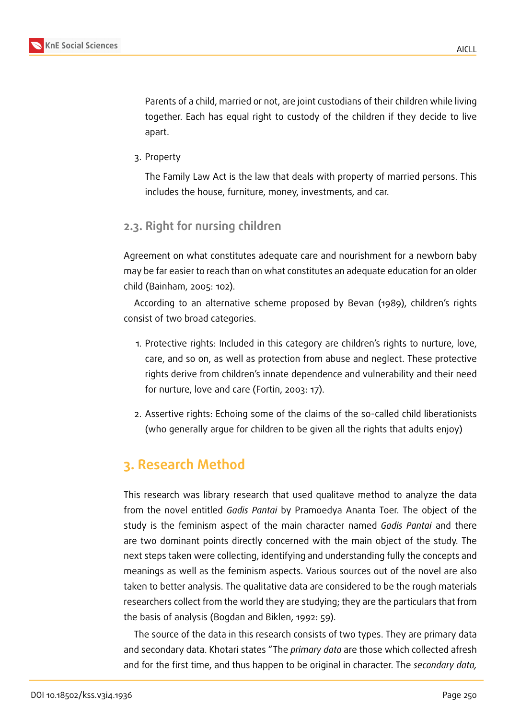

Parents of a child, married or not, are joint custodians of their children while living together. Each has equal right to custody of the children if they decide to live apart.

3. Property

The Family Law Act is the law that deals with property of married persons. This includes the house, furniture, money, investments, and car.

## **2.3. Right for nursing children**

Agreement on what constitutes adequate care and nourishment for a newborn baby may be far easier to reach than on what constitutes an adequate education for an older child (Bainham, 2005: 102).

According to an alternative scheme proposed by Bevan (1989), children's rights consist of two broad categories.

- 1. Protective rights: Included in this category are children's rights to nurture, love, care, and so on, as well as protection from abuse and neglect. These protective rights derive from children's innate dependence and vulnerability and their need for nurture, love and care (Fortin, 2003: 17).
- 2. Assertive rights: Echoing some of the claims of the so-called child liberationists (who generally argue for children to be given all the rights that adults enjoy)

# **3. Research Method**

This research was library research that used qualitave method to analyze the data from the novel entitled *Gadis Pantai* by Pramoedya Ananta Toer. The object of the study is the feminism aspect of the main character named *Gadis Pantai* and there are two dominant points directly concerned with the main object of the study. The next steps taken were collecting, identifying and understanding fully the concepts and meanings as well as the feminism aspects. Various sources out of the novel are also taken to better analysis. The qualitative data are considered to be the rough materials researchers collect from the world they are studying; they are the particulars that from the basis of analysis (Bogdan and Biklen, 1992: 59).

The source of the data in this research consists of two types. They are primary data and secondary data. Khotari states "The *primary data* are those which collected afresh and for the first time, and thus happen to be original in character. The *secondary data,*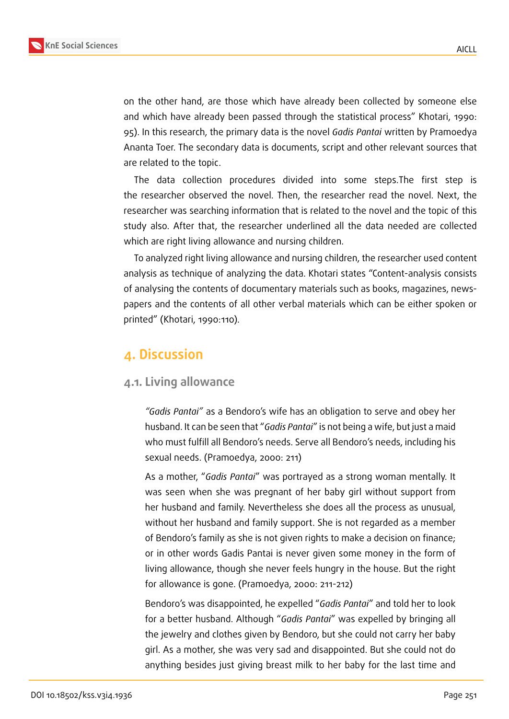

on the other hand, are those which have already been collected by someone else and which have already been passed through the statistical process" Khotari, 1990: 95). In this research, the primary data is the novel *Gadis Pantai* written by Pramoedya Ananta Toer. The secondary data is documents, script and other relevant sources that are related to the topic.

The data collection procedures divided into some steps.The first step is the researcher observed the novel. Then, the researcher read the novel. Next, the researcher was searching information that is related to the novel and the topic of this study also. After that, the researcher underlined all the data needed are collected which are right living allowance and nursing children.

To analyzed right living allowance and nursing children, the researcher used content analysis as technique of analyzing the data. Khotari states "Content-analysis consists of analysing the contents of documentary materials such as books, magazines, newspapers and the contents of all other verbal materials which can be either spoken or printed" (Khotari, 1990:110).

# **4. Discussion**

#### **4.1. Living allowance**

*"Gadis Pantai"* as a Bendoro's wife has an obligation to serve and obey her husband. It can be seen that "*Gadis Pantai*" is not being a wife, but just a maid who must fulfill all Bendoro's needs. Serve all Bendoro's needs, including his sexual needs. (Pramoedya, 2000: 211)

As a mother, "*Gadis Pantai*" was portrayed as a strong woman mentally. It was seen when she was pregnant of her baby girl without support from her husband and family. Nevertheless she does all the process as unusual, without her husband and family support. She is not regarded as a member of Bendoro's family as she is not given rights to make a decision on finance; or in other words Gadis Pantai is never given some money in the form of living allowance, though she never feels hungry in the house. But the right for allowance is gone. (Pramoedya, 2000: 211-212)

Bendoro's was disappointed, he expelled "*Gadis Pantai*" and told her to look for a better husband. Although "*Gadis Pantai*" was expelled by bringing all the jewelry and clothes given by Bendoro, but she could not carry her baby girl. As a mother, she was very sad and disappointed. But she could not do anything besides just giving breast milk to her baby for the last time and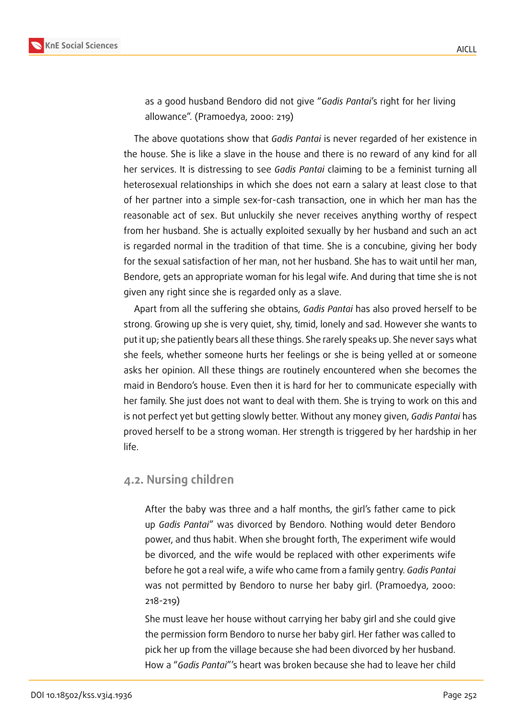

as a good husband Bendoro did not give "*Gadis Pantai*'s right for her living allowance". (Pramoedya, 2000: 219)

The above quotations show that *Gadis Pantai* is never regarded of her existence in the house. She is like a slave in the house and there is no reward of any kind for all her services. It is distressing to see *Gadis Pantai* claiming to be a feminist turning all heterosexual relationships in which she does not earn a salary at least close to that of her partner into a simple sex-for-cash transaction, one in which her man has the reasonable act of sex. But unluckily she never receives anything worthy of respect from her husband. She is actually exploited sexually by her husband and such an act is regarded normal in the tradition of that time. She is a concubine, giving her body for the sexual satisfaction of her man, not her husband. She has to wait until her man, Bendore, gets an appropriate woman for his legal wife. And during that time she is not given any right since she is regarded only as a slave.

Apart from all the suffering she obtains, *Gadis Pantai* has also proved herself to be strong. Growing up she is very quiet, shy, timid, lonely and sad. However she wants to put it up; she patiently bears all these things. She rarely speaks up. She never says what she feels, whether someone hurts her feelings or she is being yelled at or someone asks her opinion. All these things are routinely encountered when she becomes the maid in Bendoro's house. Even then it is hard for her to communicate especially with her family. She just does not want to deal with them. She is trying to work on this and is not perfect yet but getting slowly better. Without any money given, *Gadis Pantai* has proved herself to be a strong woman. Her strength is triggered by her hardship in her life.

#### **4.2. Nursing children**

After the baby was three and a half months, the girl's father came to pick up *Gadis Pantai*" was divorced by Bendoro. Nothing would deter Bendoro power, and thus habit. When she brought forth, The experiment wife would be divorced, and the wife would be replaced with other experiments wife before he got a real wife, a wife who came from a family gentry. *Gadis Pantai* was not permitted by Bendoro to nurse her baby girl. (Pramoedya, 2000: 218-219)

She must leave her house without carrying her baby girl and she could give the permission form Bendoro to nurse her baby girl. Her father was called to pick her up from the village because she had been divorced by her husband. How a "*Gadis Pantai*"'s heart was broken because she had to leave her child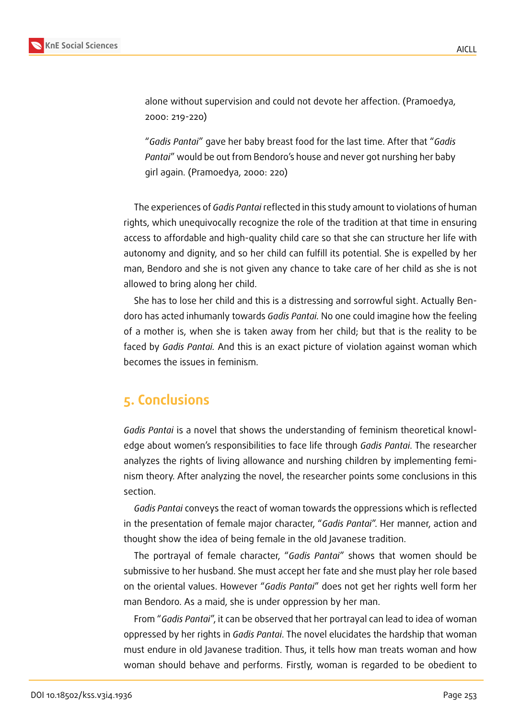

alone without supervision and could not devote her affection. (Pramoedya, 2000: 219-220)

"*Gadis Pantai*" gave her baby breast food for the last time. After that "*Gadis Pantai*" would be out from Bendoro's house and never got nurshing her baby girl again. (Pramoedya, 2000: 220)

The experiences of *Gadis Pantai* reflected in this study amount to violations of human rights, which unequivocally recognize the role of the tradition at that time in ensuring access to affordable and high-quality child care so that she can structure her life with autonomy and dignity, and so her child can fulfill its potential. She is expelled by her man, Bendoro and she is not given any chance to take care of her child as she is not allowed to bring along her child.

She has to lose her child and this is a distressing and sorrowful sight. Actually Bendoro has acted inhumanly towards *Gadis Pantai.* No one could imagine how the feeling of a mother is, when she is taken away from her child; but that is the reality to be faced by *Gadis Pantai.* And this is an exact picture of violation against woman which becomes the issues in feminism.

# **5. Conclusions**

*Gadis Pantai* is a novel that shows the understanding of feminism theoretical knowledge about women's responsibilities to face life through *Gadis Pantai*. The researcher analyzes the rights of living allowance and nurshing children by implementing feminism theory. After analyzing the novel, the researcher points some conclusions in this section.

*Gadis Pantai* conveys the react of woman towards the oppressions which is reflected in the presentation of female major character, "*Gadis Pantai*". Her manner, action and thought show the idea of being female in the old Javanese tradition.

The portrayal of female character, "*Gadis Pantai*" shows that women should be submissive to her husband. She must accept her fate and she must play her role based on the oriental values. However "*Gadis Pantai*" does not get her rights well form her man Bendoro. As a maid, she is under oppression by her man.

From "*Gadis Pantai*", it can be observed that her portrayal can lead to idea of woman oppressed by her rights in *Gadis Pantai*. The novel elucidates the hardship that woman must endure in old Javanese tradition. Thus, it tells how man treats woman and how woman should behave and performs. Firstly, woman is regarded to be obedient to